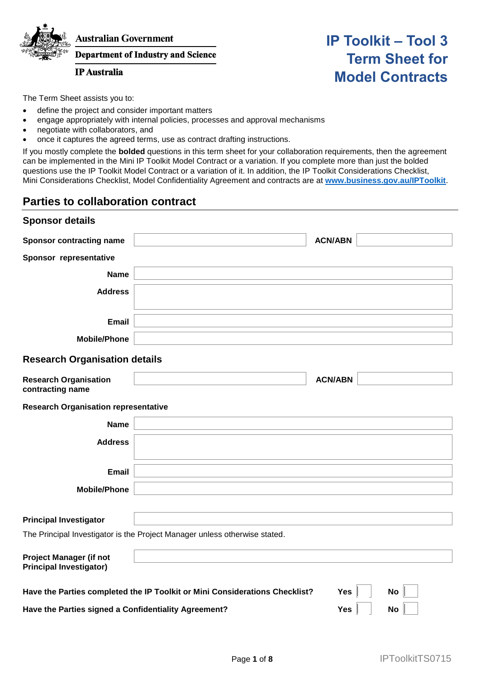

# **IP Toolkit – Tool 3 Term Sheet for Model Contracts**

The Term Sheet assists you to:

- define the project and consider important matters
- engage appropriately with internal policies, processes and approval mechanisms
- negotiate with collaborators, and
- once it captures the agreed terms, use as contract drafting instructions.

If you mostly complete the **bolded** questions in this term sheet for your collaboration requirements, then the agreement can be implemented in the Mini IP Toolkit Model Contract or a variation. If you complete more than just the bolded questions use the IP Toolkit Model Contract or a variation of it. In addition, the IP Toolkit Considerations Checklist, Mini Considerations Checklist, Model Confidentiality Agreement and contracts are at **[www.business.gov.au/IPToolkit](http://www.business.gov.au/IPToolkit)**.

### **Parties to collaboration contract**

| <b>Sponsor details</b>                                           |                                                                             |                |           |  |
|------------------------------------------------------------------|-----------------------------------------------------------------------------|----------------|-----------|--|
| <b>Sponsor contracting name</b>                                  |                                                                             | <b>ACN/ABN</b> |           |  |
| Sponsor representative                                           |                                                                             |                |           |  |
| <b>Name</b>                                                      |                                                                             |                |           |  |
| <b>Address</b>                                                   |                                                                             |                |           |  |
| <b>Email</b>                                                     |                                                                             |                |           |  |
| <b>Mobile/Phone</b>                                              |                                                                             |                |           |  |
| <b>Research Organisation details</b>                             |                                                                             |                |           |  |
| <b>Research Organisation</b><br>contracting name                 |                                                                             | <b>ACN/ABN</b> |           |  |
| <b>Research Organisation representative</b>                      |                                                                             |                |           |  |
| <b>Name</b>                                                      |                                                                             |                |           |  |
| <b>Address</b>                                                   |                                                                             |                |           |  |
| Email                                                            |                                                                             |                |           |  |
| <b>Mobile/Phone</b>                                              |                                                                             |                |           |  |
| <b>Principal Investigator</b>                                    |                                                                             |                |           |  |
|                                                                  | The Principal Investigator is the Project Manager unless otherwise stated.  |                |           |  |
| <b>Project Manager (if not</b><br><b>Principal Investigator)</b> |                                                                             |                |           |  |
|                                                                  | Have the Parties completed the IP Toolkit or Mini Considerations Checklist? | Yes            | <b>No</b> |  |
| Have the Parties signed a Confidentiality Agreement?             |                                                                             | <b>Yes</b>     | <b>No</b> |  |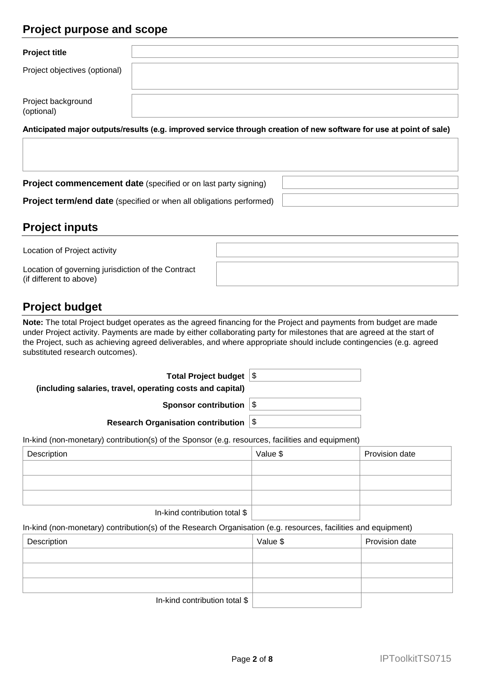### **Project purpose and scope**

| <b>Project title</b>             |  |
|----------------------------------|--|
| Project objectives (optional)    |  |
| Project background<br>(optional) |  |

### **Anticipated major outputs/results (e.g. improved service through creation of new software for use at point of sale)**

**Project commencement date** (specified or on last party signing)

**Project term/end date** (specified or when all obligations performed)

## **Project inputs**

Location of Project activity

Location of governing jurisdiction of the Contract (if different to above)

## **Project budget**

**Note:** The total Project budget operates as the agreed financing for the Project and payments from budget are made under Project activity. Payments are made by either collaborating party for milestones that are agreed at the start of the Project, such as achieving agreed deliverables, and where appropriate should include contingencies (e.g. agreed substituted research outcomes).

**Total Project budget** \$

**(including salaries, travel, operating costs and capital)**

**Sponsor contribution**  $\sqrt{$}$ 

**Research Organisation contribution**  $\sqrt{\$}$ 

In-kind (non-monetary) contribution(s) of the Sponsor (e.g. resources, facilities and equipment)

| Description                   | Value \$ | Provision date |
|-------------------------------|----------|----------------|
|                               |          |                |
|                               |          |                |
|                               |          |                |
| In-kind contribution total \$ |          |                |

In-kind contribution total  $\frac{1}{9}$ 

In-kind (non-monetary) contribution(s) of the Research Organisation (e.g. resources, facilities and equipment)

| Description                   | Value \$ | Provision date |
|-------------------------------|----------|----------------|
|                               |          |                |
|                               |          |                |
|                               |          |                |
| In-kind contribution total \$ |          |                |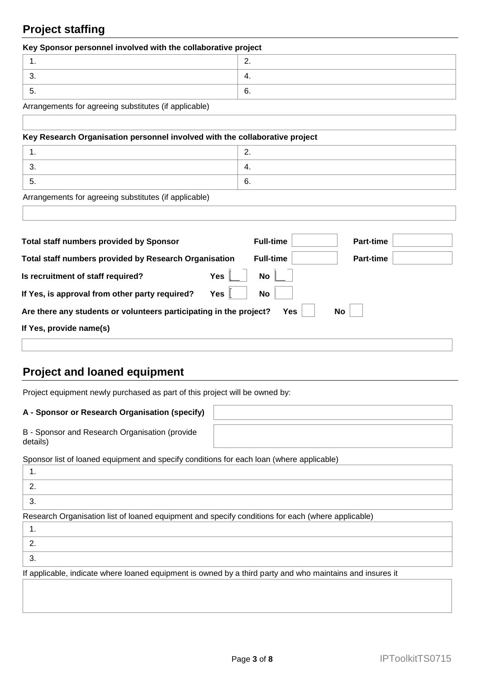## **Project staffing**

| Key Sponsor personnel involved with the collaborative project |          |  |  |  |  |
|---------------------------------------------------------------|----------|--|--|--|--|
|                                                               | <u>.</u> |  |  |  |  |
| . ت                                                           | -4.      |  |  |  |  |
| э.                                                            | - 6.     |  |  |  |  |

Arrangements for agreeing substitutes (if applicable)

## **Key Research Organisation personnel involved with the collaborative project** 1.  $\vert$  2.  $3.$  4.  $5.$  6.

Arrangements for agreeing substitutes (if applicable)

| <b>Total staff numbers provided by Sponsor</b>                     | <b>Full-time</b><br><b>Part-time</b> |
|--------------------------------------------------------------------|--------------------------------------|
| Total staff numbers provided by Research Organisation              | <b>Full-time</b><br><b>Part-time</b> |
| Is recruitment of staff required?                                  | <b>No</b><br><b>Yes</b>              |
| If Yes, is approval from other party required?                     | <b>No</b><br><b>Yes</b>              |
| Are there any students or volunteers participating in the project? | No<br>Yes                            |
| If Yes, provide name(s)                                            |                                      |
|                                                                    |                                      |

## **Project and loaned equipment**

Project equipment newly purchased as part of this project will be owned by:

#### **A - Sponsor or Research Organisation (specify)**

B - Sponsor and Research Organisation (provide details)

Sponsor list of loaned equipment and specify conditions for each loan (where applicable)

| <u>.</u> |  |  |                          |          |               |                                           |   |  |
|----------|--|--|--------------------------|----------|---------------|-------------------------------------------|---|--|
| v.       |  |  |                          |          |               |                                           |   |  |
| $\sim$   |  |  | $\overline{\phantom{a}}$ | $\cdots$ | $\sim$ $\sim$ | $\sim$ $\sim$ $\sim$ $\sim$ $\sim$ $\sim$ | . |  |

#### Research Organisation list of loaned equipment and specify conditions for each (where applicable)

1. 2.

3.

If applicable, indicate where loaned equipment is owned by a third party and who maintains and insures it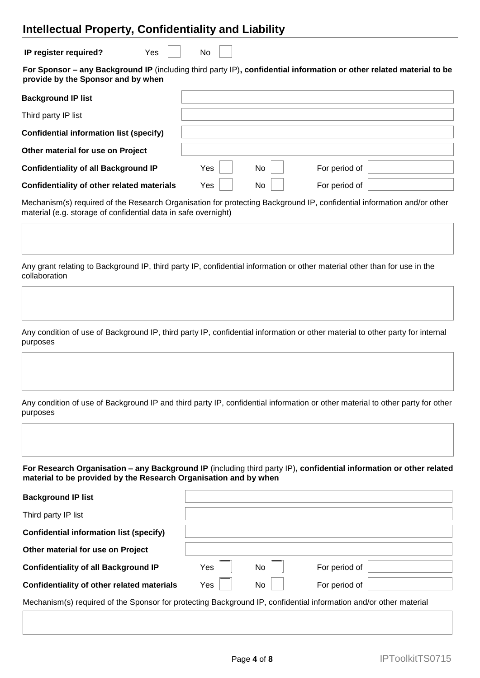## **Intellectual Property, Confidentiality and Liability**

**IP register required?** Yes No

**For Sponsor – any Background IP** (including third party IP)**, confidential information or other related material to be provide by the Sponsor and by when** 

| <b>Background IP list</b>                      |     |    |               |
|------------------------------------------------|-----|----|---------------|
| Third party IP list                            |     |    |               |
| <b>Confidential information list (specify)</b> |     |    |               |
| Other material for use on Project              |     |    |               |
| <b>Confidentiality of all Background IP</b>    | Yes | No | For period of |
| Confidentiality of other related materials     | Yes | No | For period of |

Mechanism(s) required of the Research Organisation for protecting Background IP, confidential information and/or other material (e.g. storage of confidential data in safe overnight)

Any grant relating to Background IP, third party IP, confidential information or other material other than for use in the collaboration

Any condition of use of Background IP, third party IP, confidential information or other material to other party for internal purposes

Any condition of use of Background IP and third party IP, confidential information or other material to other party for other purposes

**For Research Organisation – any Background IP** (including third party IP)**, confidential information or other related material to be provided by the Research Organisation and by when** 

| <b>Background IP list</b>                                                                                         |     |    |               |  |
|-------------------------------------------------------------------------------------------------------------------|-----|----|---------------|--|
| Third party IP list                                                                                               |     |    |               |  |
| <b>Confidential information list (specify)</b>                                                                    |     |    |               |  |
| Other material for use on Project                                                                                 |     |    |               |  |
| <b>Confidentiality of all Background IP</b>                                                                       | Yes | No | For period of |  |
| Confidentiality of other related materials                                                                        | Yes | No | For period of |  |
| Mechanism(s) required of the Sponsor for protecting Background IP, confidential information and/or other material |     |    |               |  |
|                                                                                                                   |     |    |               |  |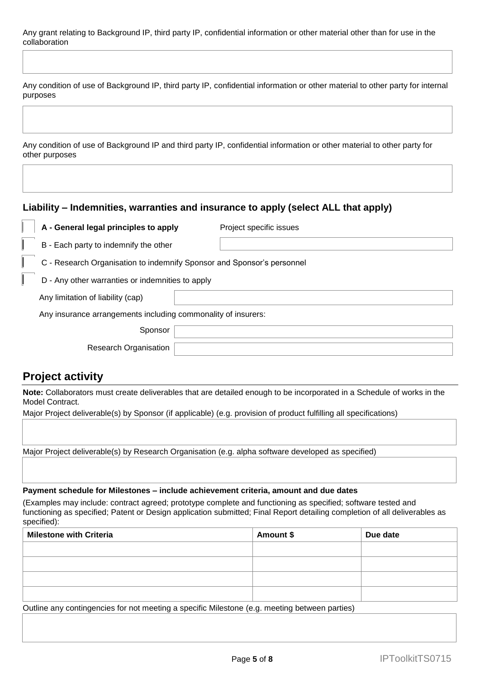| Any grant relating to Background IP, third party IP, confidential information or other material other than for use in the |  |  |  |
|---------------------------------------------------------------------------------------------------------------------------|--|--|--|
| collaboration                                                                                                             |  |  |  |

| Any condition of use of Background IP, third party IP, confidential information or other material to other party for internal |  |
|-------------------------------------------------------------------------------------------------------------------------------|--|
| purposes                                                                                                                      |  |

Any condition of use of Background IP and third party IP, confidential information or other material to other party for other purposes

### **Liability – Indemnities, warranties and insurance to apply (select ALL that apply)**

**Project specific issues** 

B - Each party to indemnify the other

C - Research Organisation to indemnify Sponsor and Sponsor's personnel

D - Any other warranties or indemnities to apply

Any limitation of liability (cap)

Any insurance arrangements including commonality of insurers:

Sponsor

Research Organisation

## **Project activity**

**Note:** Collaborators must create deliverables that are detailed enough to be incorporated in a Schedule of works in the Model Contract.

Major Project deliverable(s) by Sponsor (if applicable) (e.g. provision of product fulfilling all specifications)

Major Project deliverable(s) by Research Organisation (e.g. alpha software developed as specified)

**Payment schedule for Milestones – include achievement criteria, amount and due dates** 

(Examples may include: contract agreed; prototype complete and functioning as specified; software tested and functioning as specified; Patent or Design application submitted; Final Report detailing completion of all deliverables as specified):

| <b>Milestone with Criteria</b> | Amount \$ | Due date |
|--------------------------------|-----------|----------|
|                                |           |          |
|                                |           |          |
|                                |           |          |
|                                |           |          |

Outline any contingencies for not meeting a specific Milestone (e.g. meeting between parties)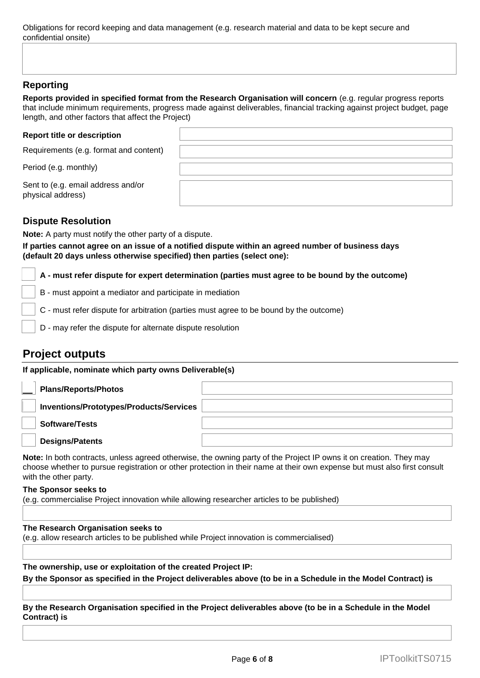Obligations for record keeping and data management (e.g. research material and data to be kept secure and confidential onsite)

### **Reporting**

**Reports provided in specified format from the Research Organisation will concern** (e.g. regular progress reports that include minimum requirements, progress made against deliverables, financial tracking against project budget, page length, and other factors that affect the Project)

#### **Report title or description**

Requirements (e.g. format and content)

Period (e.g. monthly)

Sent to (e.g. email address and/or physical address)

### **Dispute Resolution**

**Note:** A party must notify the other party of a dispute.

**If parties cannot agree on an issue of a notified dispute within an agreed number of business days (default 20 days unless otherwise specified) then parties (select one):** 

**A - must refer dispute for expert determination (parties must agree to be bound by the outcome)**

B - must appoint a mediator and participate in mediation

C - must refer dispute for arbitration (parties must agree to be bound by the outcome)

D - may refer the dispute for alternate dispute resolution

### **Project outputs**

**If applicable, nominate which party owns Deliverable(s)** 

| <b>Plans/Reports/Photos</b>             |  |
|-----------------------------------------|--|
| Inventions/Prototypes/Products/Services |  |
| <b>Software/Tests</b>                   |  |
| <b>Designs/Patents</b>                  |  |

**Note:** In both contracts, unless agreed otherwise, the owning party of the Project IP owns it on creation. They may choose whether to pursue registration or other protection in their name at their own expense but must also first consult with the other party.

#### **The Sponsor seeks to**

(e.g. commercialise Project innovation while allowing researcher articles to be published)

#### **The Research Organisation seeks to**

(e.g. allow research articles to be published while Project innovation is commercialised)

#### **The ownership, use or exploitation of the created Project IP:**

**By the Sponsor as specified in the Project deliverables above (to be in a Schedule in the Model Contract) is**

#### **By the Research Organisation specified in the Project deliverables above (to be in a Schedule in the Model Contract) is**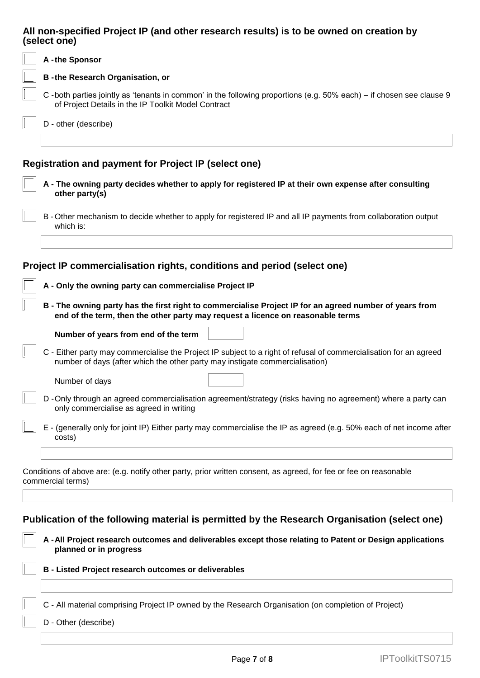### **All non-specified Project IP (and other research results) is to be owned on creation by (select one)**

| A -the Sponsor                                                                                                                                                                                     |
|----------------------------------------------------------------------------------------------------------------------------------------------------------------------------------------------------|
| <b>B</b> -the Research Organisation, or                                                                                                                                                            |
| C -both parties jointly as 'tenants in common' in the following proportions (e.g. 50% each) - if chosen see clause 9<br>of Project Details in the IP Toolkit Model Contract                        |
| D - other (describe)                                                                                                                                                                               |
|                                                                                                                                                                                                    |
| <b>Registration and payment for Project IP (select one)</b>                                                                                                                                        |
| A - The owning party decides whether to apply for registered IP at their own expense after consulting<br>other party(s)                                                                            |
| B - Other mechanism to decide whether to apply for registered IP and all IP payments from collaboration output<br>which is:                                                                        |
|                                                                                                                                                                                                    |
| Project IP commercialisation rights, conditions and period (select one)                                                                                                                            |
| A - Only the owning party can commercialise Project IP                                                                                                                                             |
| B - The owning party has the first right to commercialise Project IP for an agreed number of years from<br>end of the term, then the other party may request a licence on reasonable terms         |
| Number of years from end of the term                                                                                                                                                               |
| C - Either party may commercialise the Project IP subject to a right of refusal of commercialisation for an agreed<br>number of days (after which the other party may instigate commercialisation) |
| Number of days                                                                                                                                                                                     |
| D - Only through an agreed commercialisation agreement/strategy (risks having no agreement) where a party can<br>only commercialise as agreed in writing                                           |
| E - (generally only for joint IP) Either party may commercialise the IP as agreed (e.g. 50% each of net income after<br>costs)                                                                     |
|                                                                                                                                                                                                    |
| Conditions of above are: (e.g. notify other party, prior written consent, as agreed, for fee or fee on reasonable<br>commercial terms)                                                             |
|                                                                                                                                                                                                    |
| Publication of the following material is permitted by the Research Organisation (select one)                                                                                                       |
| A - All Project research outcomes and deliverables except those relating to Patent or Design applications<br>planned or in progress                                                                |
| <b>B - Listed Project research outcomes or deliverables</b>                                                                                                                                        |
|                                                                                                                                                                                                    |
| C - All material comprising Project IP owned by the Research Organisation (on completion of Project)                                                                                               |
| D - Other (describe)                                                                                                                                                                               |
|                                                                                                                                                                                                    |